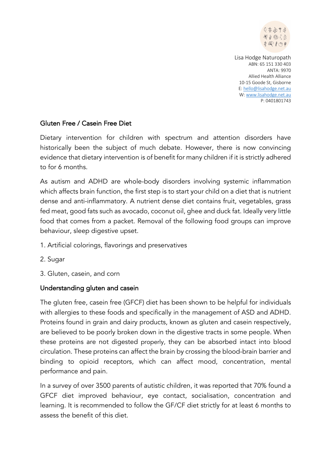

### Gluten Free / Casein Free Diet

Dietary intervention for children with spectrum and attention disorders have historically been the subject of much debate. However, there is now convincing evidence that dietary intervention is of benefit for many children if it is strictly adhered to for 6 months.

As autism and ADHD are whole-body disorders involving systemic inflammation which affects brain function, the first step is to start your child on a diet that is nutrient dense and anti-inflammatory. A nutrient dense diet contains fruit, vegetables, grass fed meat, good fats such as avocado, coconut oil, ghee and duck fat. Ideally very little food that comes from a packet. Removal of the following food groups can improve behaviour, sleep digestive upset.

- 1. Artificial colorings, flavorings and preservatives
- 2. Sugar
- 3. Gluten, casein, and corn

#### Understanding gluten and casein

The gluten free, casein free (GFCF) diet has been shown to be helpful for individuals with allergies to these foods and specifically in the management of ASD and ADHD. Proteins found in grain and dairy products, known as gluten and casein respectively, are believed to be poorly broken down in the digestive tracts in some people. When these proteins are not digested properly, they can be absorbed intact into blood circulation. These proteins can affect the brain by crossing the blood-brain barrier and binding to opioid receptors, which can affect mood, concentration, mental performance and pain.

In a survey of over 3500 parents of autistic children, it was reported that 70% found a GFCF diet improved behaviour, eye contact, socialisation, concentration and learning. It is recommended to follow the GF/CF diet strictly for at least 6 months to assess the benefit of this diet.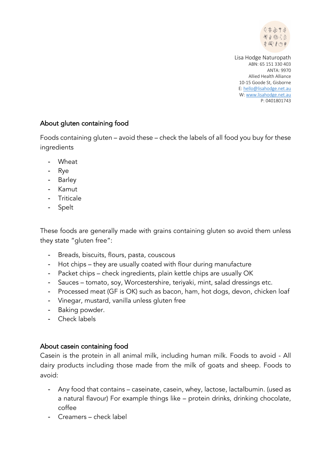

## About gluten containing food

Foods containing gluten – avoid these – check the labels of all food you buy for these ingredients

- **Wheat**
- Rye
- Barley
- Kamut
- Triticale
- Spelt

These foods are generally made with grains containing gluten so avoid them unless they state "gluten free":

- Breads, biscuits, flours, pasta, couscous
- Hot chips they are usually coated with flour during manufacture
- Packet chips check ingredients, plain kettle chips are usually OK
- Sauces tomato, soy, Worcestershire, teriyaki, mint, salad dressings etc.
- Processed meat (GF is OK) such as bacon, ham, hot dogs, devon, chicken loaf
- Vinegar, mustard, vanilla unless gluten free
- Baking powder.
- Check labels

### About casein containing food

Casein is the protein in all animal milk, including human milk. Foods to avoid - All dairy products including those made from the milk of goats and sheep. Foods to avoid:

- Any food that contains caseinate, casein, whey, lactose, lactalbumin. (used as a natural flavour) For example things like – protein drinks, drinking chocolate, coffee
- Creamers check label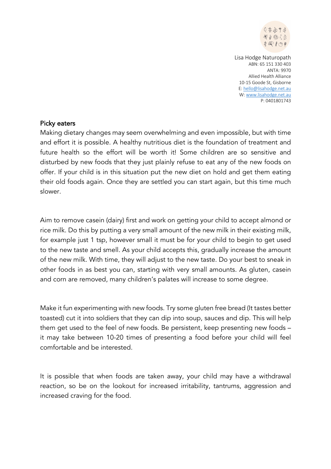

#### Picky eaters

Making dietary changes may seem overwhelming and even impossible, but with time and effort it is possible. A healthy nutritious diet is the foundation of treatment and future health so the effort will be worth it! Some children are so sensitive and disturbed by new foods that they just plainly refuse to eat any of the new foods on offer. If your child is in this situation put the new diet on hold and get them eating their old foods again. Once they are settled you can start again, but this time much slower.

Aim to remove casein (dairy) first and work on getting your child to accept almond or rice milk. Do this by putting a very small amount of the new milk in their existing milk, for example just 1 tsp, however small it must be for your child to begin to get used to the new taste and smell. As your child accepts this, gradually increase the amount of the new milk. With time, they will adjust to the new taste. Do your best to sneak in other foods in as best you can, starting with very small amounts. As gluten, casein and corn are removed, many children's palates will increase to some degree.

Make it fun experimenting with new foods. Try some gluten free bread (It tastes better toasted) cut it into soldiers that they can dip into soup, sauces and dip. This will help them get used to the feel of new foods. Be persistent, keep presenting new foods – it may take between 10-20 times of presenting a food before your child will feel comfortable and be interested.

It is possible that when foods are taken away, your child may have a withdrawal reaction, so be on the lookout for increased irritability, tantrums, aggression and increased craving for the food.